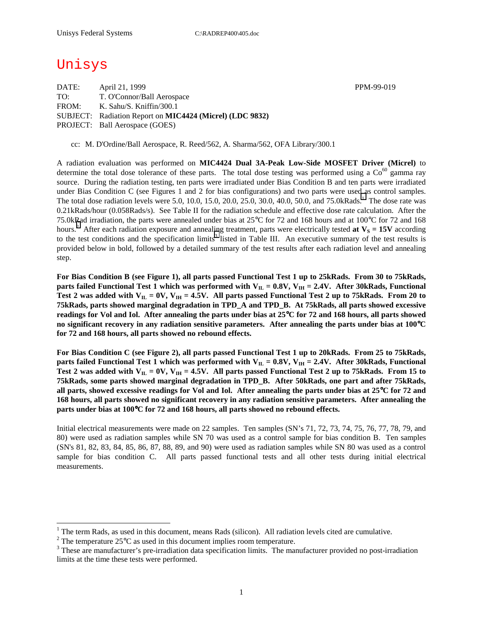# Unisys

 $\overline{a}$ 

| DATE: | April 21, 1999                                           |
|-------|----------------------------------------------------------|
| TO:   | T. O'Connor/Ball Aerospace                               |
| FROM: | K. Sahu/S. Kniffin/300.1                                 |
|       | SUBJECT: Radiation Report on MIC4424 (Micrel) (LDC 9832) |
|       | <b>PROJECT:</b> Ball Aerospace (GOES)                    |

cc: M. D'Ordine/Ball Aerospace, R. Reed/562, A. Sharma/562, OFA Library/300.1

A radiation evaluation was performed on **MIC4424 Dual 3A-Peak Low-Side MOSFET Driver (Micrel)** to determine the total dose tolerance of these parts. The total dose testing was performed using a  $Co^{60}$  gamma ray source. During the radiation testing, ten parts were irradiated under Bias Condition B and ten parts were irradiated under Bias Condition C (see Figures 1 and 2 for bias configurations) and two parts were used as control samples. The total dose radiation levels were 5.0, 10.0, 15.0, 20.0, 25.0, 30.0, 40.0, 50.0, and 75.0kRads.<sup>1</sup> The dose rate was 0.21kRads/hour (0.058Rads/s). See Table II for the radiation schedule and effective dose rate calculation. After the 75.0kRad irradiation, the parts were annealed under bias at 25°C for 72 and 168 hours and at 100°C for 72 and 168 hours.<sup>2</sup> After each radiation exposure and annealing treatment, parts were electrically tested at  $V_s = 15V$  according to the test conditions and the specification limits<sup>3</sup> listed in Table III. An executive summary of the test results is provided below in bold, followed by a detailed summary of the test results after each radiation level and annealing step.

**For Bias Condition B (see Figure 1), all parts passed Functional Test 1 up to 25kRads. From 30 to 75kRads,**  parts failed Functional Test 1 which was performed with V<sub>IL</sub> = 0.8V, V<sub>IH</sub> = 2.4V. After 30kRads, Functional Test 2 was added with  $V_{II} = 0V$ ,  $V_{IH} = 4.5V$ . All parts passed Functional Test 2 up to 75kRads. From 20 to **75kRads, parts showed marginal degradation in TPD\_A and TPD\_B. At 75kRads, all parts showed excessive readings for Vol and Iol. After annealing the parts under bias at 25**°**C for 72 and 168 hours, all parts showed no significant recovery in any radiation sensitive parameters. After annealing the parts under bias at 100**°**C for 72 and 168 hours, all parts showed no rebound effects.** 

**For Bias Condition C (see Figure 2), all parts passed Functional Test 1 up to 20kRads. From 25 to 75kRads,**  parts failed Functional Test 1 which was performed with  $V_{IL} = 0.8V$ ,  $V_{IH} = 2.4V$ . After 30kRads, Functional Test 2 was added with  $V_{IL} = 0V$ ,  $V_{IH} = 4.5V$ . All parts passed Functional Test 2 up to 75kRads. From 15 to **75kRads, some parts showed marginal degradation in TPD\_B. After 50kRads, one part and after 75kRads, all parts, showed excessive readings for Vol and Iol. After annealing the parts under bias at 25**°**C for 72 and 168 hours, all parts showed no significant recovery in any radiation sensitive parameters. After annealing the parts under bias at 100**°**C for 72 and 168 hours, all parts showed no rebound effects.** 

Initial electrical measurements were made on 22 samples. Ten samples (SN's 71, 72, 73, 74, 75, 76, 77, 78, 79, and 80) were used as radiation samples while SN 70 was used as a control sample for bias condition B. Ten samples (SN's 81, 82, 83, 84, 85, 86, 87, 88, 89, and 90) were used as radiation samples while SN 80 was used as a control sample for bias condition C. All parts passed functional tests and all other tests during initial electrical measurements.

PPM-99-019

<sup>&</sup>lt;sup>1</sup> The term Rads, as used in this document, means Rads (silicon). All radiation levels cited are cumulative.

<sup>&</sup>lt;sup>2</sup> The temperature 25 $^{\circ}$ C as used in this document implies room temperature.  $^3$  These are manufacturer's are irrediction date apositionism limits. The manufacturer's

<sup>&</sup>lt;sup>3</sup> These are manufacturer's pre-irradiation data specification limits. The manufacturer provided no post-irradiation limits at the time these tests were performed.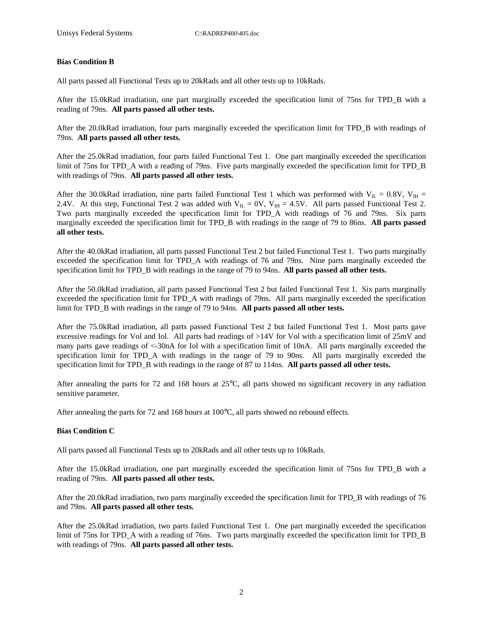#### **Bias Condition B**

All parts passed all Functional Tests up to 20kRads and all other tests up to 10kRads.

After the 15.0kRad irradiation, one part marginally exceeded the specification limit of 75ns for TPD\_B with a reading of 79ns. **All parts passed all other tests.** 

After the 20.0kRad irradiation, four parts marginally exceeded the specification limit for TPD\_B with readings of 79ns. **All parts passed all other tests.** 

After the 25.0kRad irradiation, four parts failed Functional Test 1. One part marginally exceeded the specification limit of 75ns for TPD\_A with a reading of 79ns. Five parts marginally exceeded the specification limit for TPD\_B with readings of 79ns. **All parts passed all other tests.** 

After the 30.0kRad irradiation, nine parts failed Functional Test 1 which was performed with  $V_{IL} = 0.8V$ ,  $V_{IH} =$ 2.4V. At this step, Functional Test 2 was added with  $V_{IL} = 0V$ ,  $V_{IH} = 4.5V$ . All parts passed Functional Test 2. Two parts marginally exceeded the specification limit for TPD\_A with readings of 76 and 79ns. Six parts marginally exceeded the specification limit for TPD\_B with readings in the range of 79 to 86ns. **All parts passed all other tests.** 

After the 40.0kRad irradiation, all parts passed Functional Test 2 but failed Functional Test 1. Two parts marginally exceeded the specification limit for TPD\_A with readings of 76 and 79ns. Nine parts marginally exceeded the specification limit for TPD\_B with readings in the range of 79 to 94ns. **All parts passed all other tests.** 

After the 50.0kRad irradiation, all parts passed Functional Test 2 but failed Functional Test 1. Six parts marginally exceeded the specification limit for TPD\_A with readings of 79ns. All parts marginally exceeded the specification limit for TPD\_B with readings in the range of 79 to 94ns. **All parts passed all other tests.** 

After the 75.0kRad irradiation, all parts passed Functional Test 2 but failed Functional Test 1. Most parts gave excessive readings for Vol and Iol. All parts had readings of >14V for Vol with a specification limit of 25mV and many parts gave readings of <-30nA for Iol with a specification limit of 10nA. All parts marginally exceeded the specification limit for TPD\_A with readings in the range of 79 to 90ns. All parts marginally exceeded the specification limit for TPD\_B with readings in the range of 87 to 114ns. **All parts passed all other tests.** 

After annealing the parts for 72 and 168 hours at 25°C, all parts showed no significant recovery in any radiation sensitive parameter.

After annealing the parts for 72 and 168 hours at 100°C, all parts showed no rebound effects.

#### **Bias Condition C**

All parts passed all Functional Tests up to 20kRads and all other tests up to 10kRads.

After the 15.0kRad irradiation, one part marginally exceeded the specification limit of 75ns for TPD\_B with a reading of 79ns. **All parts passed all other tests.** 

After the 20.0kRad irradiation, two parts marginally exceeded the specification limit for TPD\_B with readings of 76 and 79ns. **All parts passed all other tests.** 

After the 25.0kRad irradiation, two parts failed Functional Test 1. One part marginally exceeded the specification limit of 75ns for TPD. A with a reading of 76ns. Two parts marginally exceeded the specification limit for TPD. B with readings of 79ns. **All parts passed all other tests.**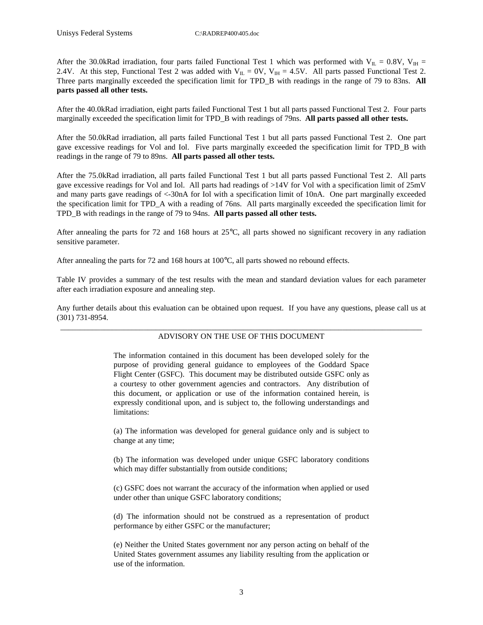After the 30.0kRad irradiation, four parts failed Functional Test 1 which was performed with  $V_{IL} = 0.8V$ ,  $V_{IH} =$ 2.4V. At this step, Functional Test 2 was added with  $V_{IL} = 0V$ ,  $V_{IH} = 4.5V$ . All parts passed Functional Test 2. Three parts marginally exceeded the specification limit for TPD\_B with readings in the range of 79 to 83ns. **All parts passed all other tests.** 

After the 40.0kRad irradiation, eight parts failed Functional Test 1 but all parts passed Functional Test 2. Four parts marginally exceeded the specification limit for TPD\_B with readings of 79ns. **All parts passed all other tests.** 

After the 50.0kRad irradiation, all parts failed Functional Test 1 but all parts passed Functional Test 2. One part gave excessive readings for Vol and Iol. Five parts marginally exceeded the specification limit for TPD\_B with readings in the range of 79 to 89ns. **All parts passed all other tests.** 

After the 75.0kRad irradiation, all parts failed Functional Test 1 but all parts passed Functional Test 2. All parts gave excessive readings for Vol and Iol. All parts had readings of >14V for Vol with a specification limit of 25mV and many parts gave readings of <-30nA for Iol with a specification limit of 10nA. One part marginally exceeded the specification limit for TPD\_A with a reading of 76ns. All parts marginally exceeded the specification limit for TPD\_B with readings in the range of 79 to 94ns. **All parts passed all other tests.** 

After annealing the parts for 72 and 168 hours at 25°C, all parts showed no significant recovery in any radiation sensitive parameter.

After annealing the parts for 72 and 168 hours at 100°C, all parts showed no rebound effects.

Table IV provides a summary of the test results with the mean and standard deviation values for each parameter after each irradiation exposure and annealing step.

Any further details about this evaluation can be obtained upon request. If you have any questions, please call us at (301) 731-8954.

#### \_\_\_\_\_\_\_\_\_\_\_\_\_\_\_\_\_\_\_\_\_\_\_\_\_\_\_\_\_\_\_\_\_\_\_\_\_\_\_\_\_\_\_\_\_\_\_\_\_\_\_\_\_\_\_\_\_\_\_\_\_\_\_\_\_\_\_\_\_\_\_\_\_\_\_\_\_\_\_\_\_\_\_\_\_\_\_\_\_\_\_ ADVISORY ON THE USE OF THIS DOCUMENT

The information contained in this document has been developed solely for the purpose of providing general guidance to employees of the Goddard Space Flight Center (GSFC). This document may be distributed outside GSFC only as a courtesy to other government agencies and contractors. Any distribution of this document, or application or use of the information contained herein, is expressly conditional upon, and is subject to, the following understandings and limitations:

(a) The information was developed for general guidance only and is subject to change at any time;

(b) The information was developed under unique GSFC laboratory conditions which may differ substantially from outside conditions;

(c) GSFC does not warrant the accuracy of the information when applied or used under other than unique GSFC laboratory conditions;

(d) The information should not be construed as a representation of product performance by either GSFC or the manufacturer;

(e) Neither the United States government nor any person acting on behalf of the United States government assumes any liability resulting from the application or use of the information.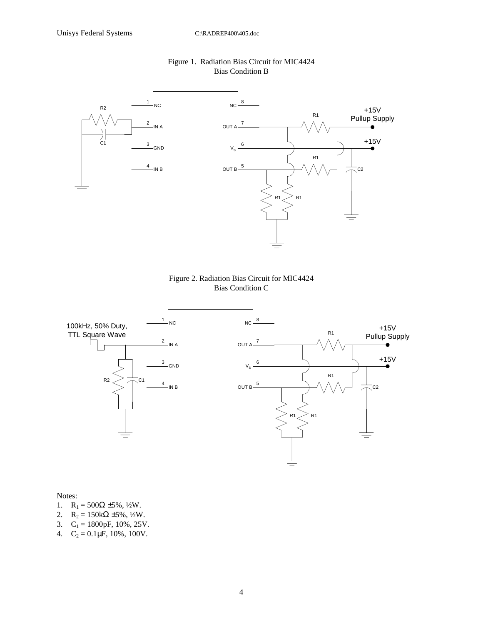

### Figure 1. Radiation Bias Circuit for MIC4424 Bias Condition B





Notes:

- 1.  $R_1 = 500\Omega \pm 5\%, \frac{1}{2}W$ .
- 2.  $R_2 = 150k\Omega \pm 5\%, \frac{1}{2}W$ .
- 3.  $C_1 = 1800pF, 10\%, 25V.$
- 4.  $C_2 = 0.1 \mu F$ , 10%, 100V.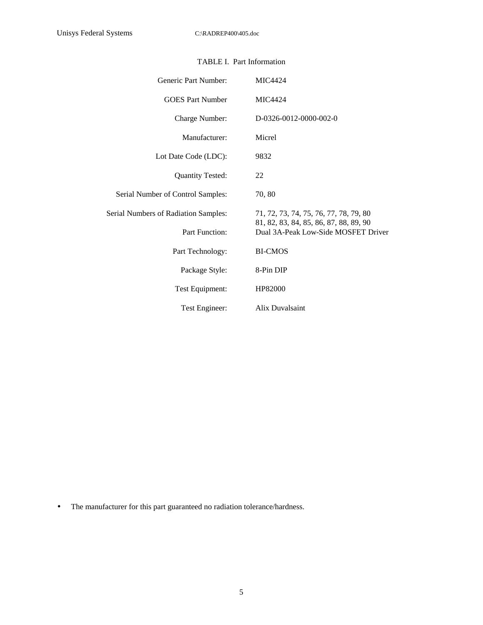| Generic Part Number:                 | <b>MIC4424</b>                                                                |
|--------------------------------------|-------------------------------------------------------------------------------|
| <b>GOES</b> Part Number              | MIC4424                                                                       |
| Charge Number:                       | D-0326-0012-0000-002-0                                                        |
| Manufacturer:                        | Micrel                                                                        |
| Lot Date Code (LDC):                 | 9832                                                                          |
| <b>Quantity Tested:</b>              | 22                                                                            |
| Serial Number of Control Samples:    | 70,80                                                                         |
| Serial Numbers of Radiation Samples: | 71, 72, 73, 74, 75, 76, 77, 78, 79, 80                                        |
| Part Function:                       | 81, 82, 83, 84, 85, 86, 87, 88, 89, 90<br>Dual 3A-Peak Low-Side MOSFET Driver |
| Part Technology:                     | <b>BI-CMOS</b>                                                                |
| Package Style:                       | 8-Pin DIP                                                                     |
| Test Equipment:                      | HP82000                                                                       |
| Test Engineer:                       | Alix Duvalsaint                                                               |

## TABLE I. Part Information

• The manufacturer for this part guaranteed no radiation tolerance/hardness.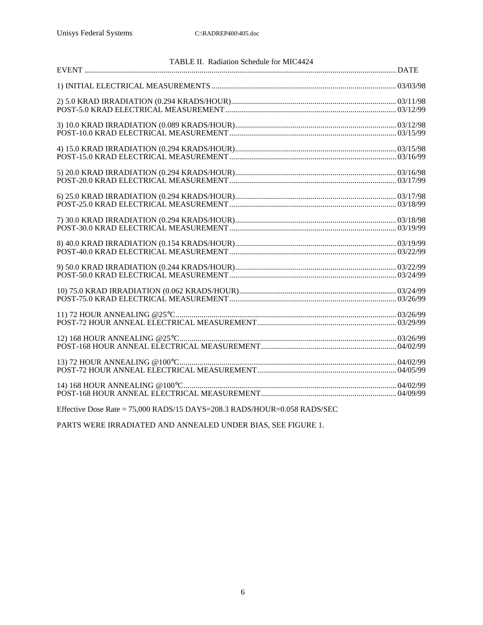| TABLE II. Radiation Schedule for MIC4424 |  |
|------------------------------------------|--|
|                                          |  |
|                                          |  |
|                                          |  |
|                                          |  |
|                                          |  |
|                                          |  |
|                                          |  |
|                                          |  |
|                                          |  |
|                                          |  |
|                                          |  |
|                                          |  |
|                                          |  |
|                                          |  |
|                                          |  |
|                                          |  |
|                                          |  |
|                                          |  |
|                                          |  |
|                                          |  |
|                                          |  |
|                                          |  |
|                                          |  |
|                                          |  |

Effective Dose Rate = 75,000 RADS/15 DAYS=208.3 RADS/HOUR=0.058 RADS/SEC

PARTS WERE IRRADIATED AND ANNEALED UNDER BIAS, SEE FIGURE 1.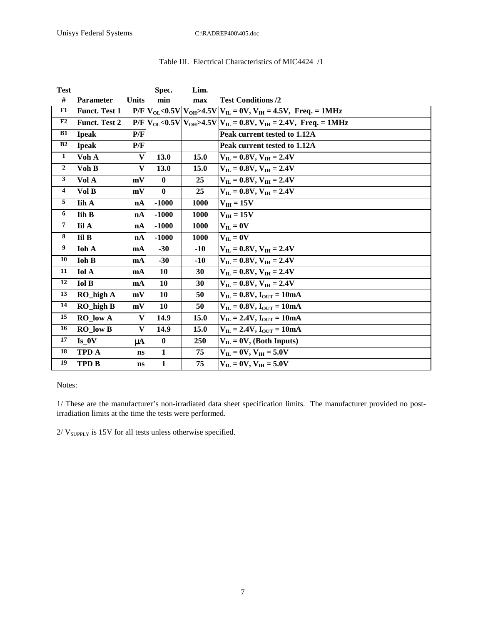| <b>Test</b>             |                        |                           | Spec.        | Lim.        |                                                                              |
|-------------------------|------------------------|---------------------------|--------------|-------------|------------------------------------------------------------------------------|
| $\#$                    | Parameter              | <b>Units</b>              | min          | max         | <b>Test Conditions /2</b>                                                    |
| F1                      | <b>Funct. Test 1</b>   |                           |              |             | $P/F V_{OL} < 0.5V V_{OH} > 4.5V V_{IL} = 0V, V_{IH} = 4.5V,$ Freq. = 1MHz   |
| F2                      | <b>Funct. Test 2</b>   |                           |              |             | $P/F V_{OL} < 0.5V V_{OH} > 4.5V V_{IL} = 0.8V, V_{IH} = 2.4V,$ Freq. = 1MHz |
| B1                      | <b>Ipeak</b>           | P/F                       |              |             | Peak current tested to 1.12A                                                 |
| B2                      | <b>Ipeak</b>           | P/F                       |              |             | Peak current tested to 1.12A                                                 |
| $\mathbf{1}$            | Voh A                  | $\boldsymbol{\mathrm{v}}$ | 13.0         | 15.0        | $V_{IL} = 0.8V, V_{IH} = 2.4V$                                               |
| $\mathbf{2}$            | Voh B                  | $\overline{\mathbf{V}}$   | 13.0         | 15.0        | $V_{II} = 0.8V$ , $V_{IH} = 2.4V$                                            |
| $\mathbf{3}$            | Vol A                  | mV                        | $\bf{0}$     | 25          | $V_{\text{H}} = 0.8 V, V_{\text{IH}} = 2.4 V$                                |
| $\overline{\mathbf{4}}$ | Vol B                  | mV                        | $\mathbf{0}$ | 25          | $V_{\rm H} = 0.8 V$ , $V_{\rm H} = 2.4 V$                                    |
| 5                       | <b>Iih A</b>           | nA                        | $-1000$      | 1000        | $V_{IH} = 15V$                                                               |
| 6                       | <b>Iih B</b>           | nA                        | $-1000$      | <b>1000</b> | $V_{IH} = 15V$                                                               |
| $\overline{7}$          | <b>Iil A</b>           | nA                        | $-1000$      | 1000        | $V_{IL} = 0V$                                                                |
| 8                       | <b>Iil B</b>           | nA                        | $-1000$      | 1000        | $V_{IL} = 0V$                                                                |
| 9                       | Ioh A                  | mA                        | $-30$        | $-10$       | $V_{\text{IL}} = 0.8V, V_{\text{IH}} = 2.4V$                                 |
| 10                      | <b>Ioh B</b>           | mA                        | $-30$        | $-10$       | $V_{\rm H} = 0.8 V$ , $V_{\rm H} = 2.4 V$                                    |
| 11                      | <b>Iol A</b>           | mA                        | <b>10</b>    | 30          | $V_{II} = 0.8V$ , $V_{IH} = 2.4V$                                            |
| 12                      | <b>Iol B</b>           | mA                        | 10           | 30          | $V_{\text{H}} = 0.8 V, V_{\text{H}} = 2.4 V$                                 |
| 13                      | RO_high A              | mV                        | 10           | 50          | $V_{II} = 0.8V$ , $I_{OIII} = 10mA$                                          |
| 14                      | $RO$ high $B$          | mV                        | 10           | 50          | $V_{II} = 0.8V$ , $I_{OIII} = 10mA$                                          |
| 15                      | RO low A               | V                         | 14.9         | 15.0        | $V_{II} = 2.4V$ , $I_{OIII} = 10mA$                                          |
| 16                      | <b>RO</b> low <b>B</b> | $\overline{\mathbf{V}}$   | 14.9         | 15.0        | $V_{IL} = 2.4V$ , $I_{OUT} = 10mA$                                           |
| 17                      | Is 0V                  | μA                        | $\bf{0}$     | 250         | $V_{IL} = 0V$ , (Both Inputs)                                                |
| 18                      | <b>TPD A</b>           | ns                        | $\mathbf{1}$ | 75          | $V_{\rm H} = 0V$ , $V_{\rm IH} = 5.0V$                                       |
| 19                      | TPD B                  | $\mathbf{ns}$             | $\mathbf{1}$ | 75          | $V_{\rm H} = 0V$ , $V_{\rm H} = 5.0V$                                        |

# Table III. Electrical Characteristics of MIC4424 /1

#### Notes:

1/ These are the manufacturer's non-irradiated data sheet specification limits. The manufacturer provided no postirradiation limits at the time the tests were performed.

 $2/\,{\rm V}_{\text{SUPPLY}}$  is 15V for all tests unless otherwise specified.